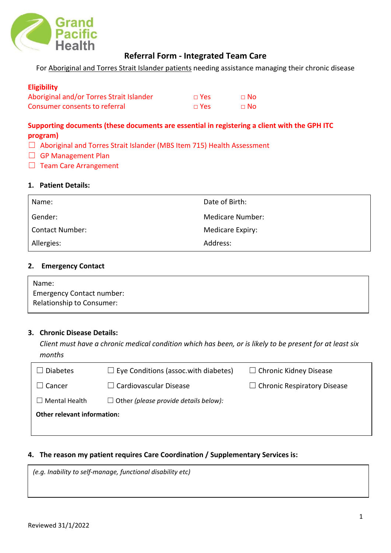

# **Referral Form - Integrated Team Care**

For Aboriginal and Torres Strait Islander patients needing assistance managing their chronic disease

## **Eligibility**

| Aboriginal and/or Torres Strait Islander | $\Box$ Yes | $\sqcap$ No |
|------------------------------------------|------------|-------------|
| Consumer consents to referral            | $\Box$ Yes | ⊟ No        |

# **Supporting documents (these documents are essential in registering a client with the GPH ITC program)**

- □ Aboriginal and Torres Strait Islander (MBS Item 715) Health Assessment
- □ GP Management Plan
- □ Team Care Arrangement

## **1. Patient Details:**

| Name:                  | Date of Birth:   |
|------------------------|------------------|
| Gender:                | Medicare Number: |
| <b>Contact Number:</b> | Medicare Expiry: |
| Allergies:             | Address:         |

### **2. Emergency Contact**

| Name:                            |  |
|----------------------------------|--|
| <b>Emergency Contact number:</b> |  |
| Relationship to Consumer:        |  |

#### **3. Chronic Disease Details:**

*Client must have a chronic medical condition which has been, or is likely to be present for at least six months*

| <b>Diabetes</b>                    | $\Box$ Eye Conditions (assoc.with diabetes)  | $\Box$ Chronic Kidney Disease      |  |
|------------------------------------|----------------------------------------------|------------------------------------|--|
| $\Box$ Cancer                      | $\Box$ Cardiovascular Disease                | $\Box$ Chronic Respiratory Disease |  |
| $\Box$ Mental Health               | $\Box$ Other (please provide details below): |                                    |  |
| <b>Other relevant information:</b> |                                              |                                    |  |
|                                    |                                              |                                    |  |

# **4. The reason my patient requires Care Coordination / Supplementary Services is:**

*(e.g. Inability to self-manage, functional disability etc)*